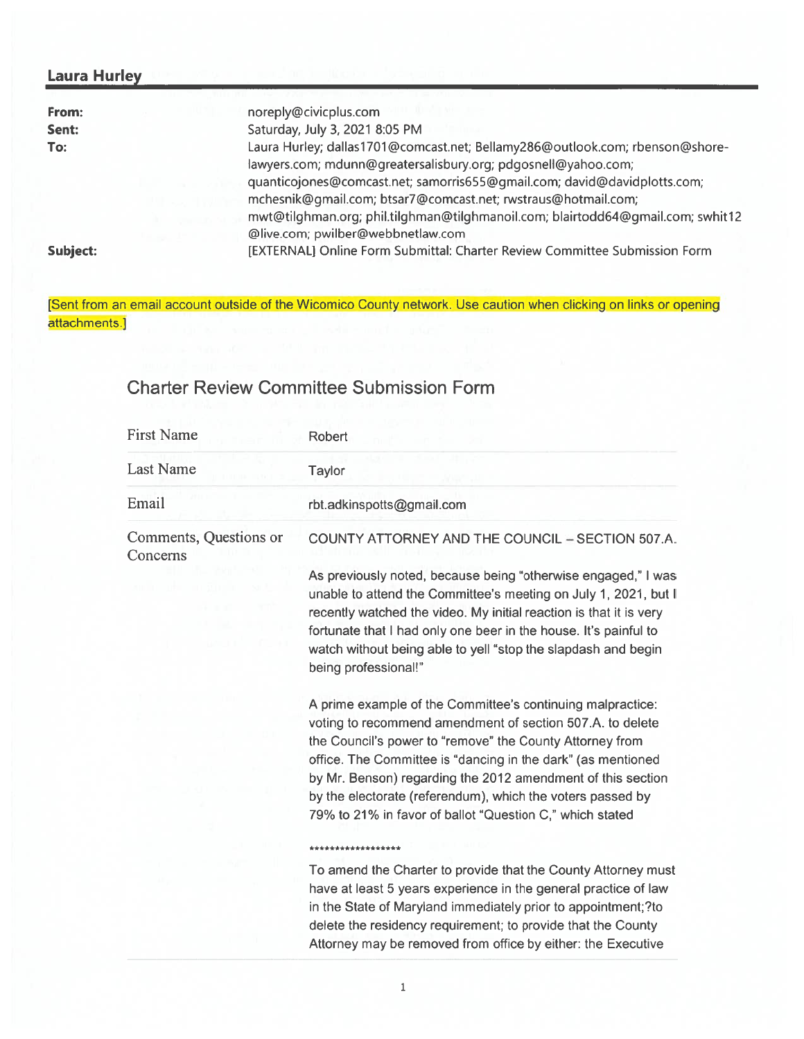## Laura Hurley

| From:    | noreply@civicplus.com                                                           |
|----------|---------------------------------------------------------------------------------|
| Sent:    | Saturday, July 3, 2021 8:05 PM                                                  |
| To:      | Laura Hurley; dallas1701@comcast.net; Bellamy286@outlook.com; rbenson@shore-    |
|          | lawyers.com; mdunn@greatersalisbury.org; pdgosnell@yahoo.com;                   |
|          | quanticojones@comcast.net; samorris655@gmail.com; david@davidplotts.com;        |
|          | mchesnik@gmail.com; btsar7@comcast.net; rwstraus@hotmail.com;                   |
|          | mwt@tilghman.org; phil.tilghman@tilghmanoil.com; blairtodd64@gmail.com; swhit12 |
|          | @live.com; pwilber@webbnetlaw.com                                               |
| Subject: | [EXTERNAL] Online Form Submittal: Charter Review Committee Submission Form      |

[Sent from an email account outside of the Wicomico County network. Use caution when clicking on links or opening attachments.]

## Charter Review Committee Submission Form

| <b>First Name</b>                  | Robert                                                                                                                                                                                                                                                                                                                                                                                                                                       |
|------------------------------------|----------------------------------------------------------------------------------------------------------------------------------------------------------------------------------------------------------------------------------------------------------------------------------------------------------------------------------------------------------------------------------------------------------------------------------------------|
| <b>Last Name</b>                   | <b>Taylor</b>                                                                                                                                                                                                                                                                                                                                                                                                                                |
| Email                              | rbt.adkinspotts@gmail.com                                                                                                                                                                                                                                                                                                                                                                                                                    |
| Comments, Questions or<br>Concerns | COUNTY ATTORNEY AND THE COUNCIL - SECTION 507.A.                                                                                                                                                                                                                                                                                                                                                                                             |
|                                    | As previously noted, because being "otherwise engaged," I was<br>unable to attend the Committee's meeting on July 1, 2021, but I<br>recently watched the video. My initial reaction is that it is very<br>fortunate that I had only one beer in the house. It's painful to<br>watch without being able to yell "stop the slapdash and begin<br>being professional!"                                                                          |
|                                    | A prime example of the Committee's continuing malpractice:<br>voting to recommend amendment of section 507.A. to delete<br>the Council's power to "remove" the County Attorney from<br>office. The Committee is "dancing in the dark" (as mentioned<br>by Mr. Benson) regarding the 2012 amendment of this section<br>by the electorate (referendum), which the voters passed by<br>79% to 21% in favor of ballot "Question C," which stated |
|                                    | ******************                                                                                                                                                                                                                                                                                                                                                                                                                           |
|                                    | To amend the Charter to provide that the County Attorney must<br>have at least 5 years experience in the general practice of law<br>in the State of Maryland immediately prior to appointment;?to<br>delete the residency requirement; to provide that the County<br>Attorney may be removed from office by either: the Executive                                                                                                            |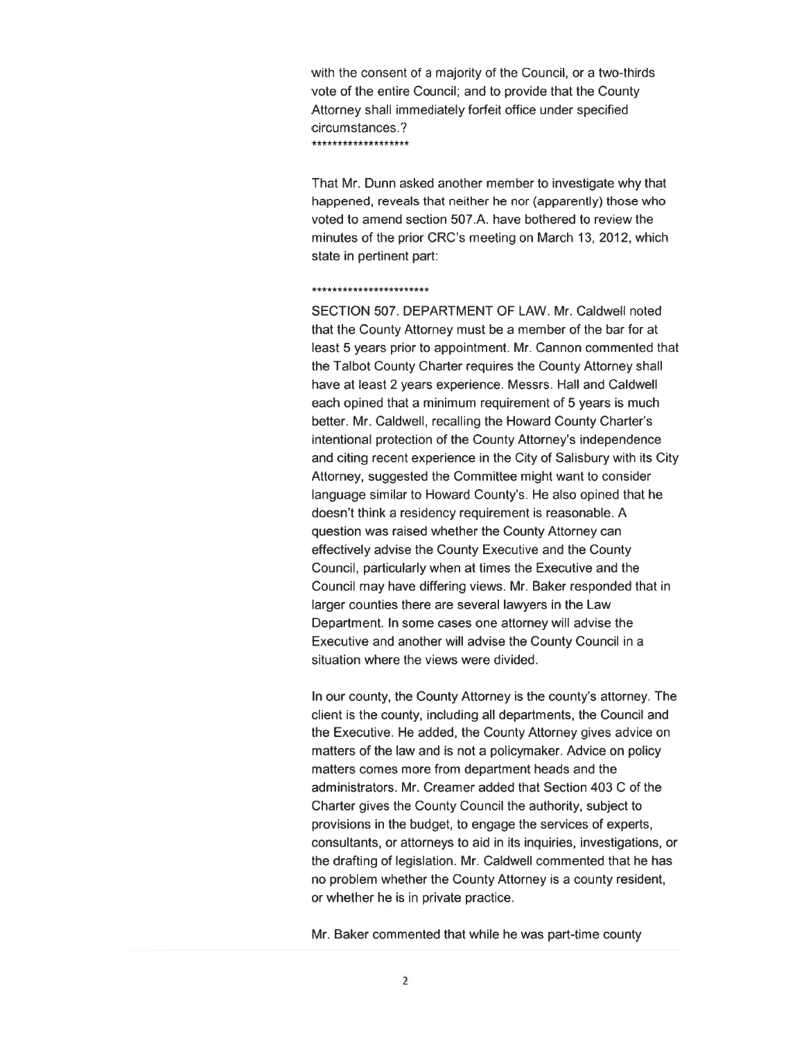with the consent of <sup>a</sup> majority of the Council, or <sup>a</sup> two-thirds vote of the entire Council; and to provide that the County Attorney shall immediately forfeit office under specified circumstances.? \*\*\*\*\*\*\*\*\*\*\*\*\*\*\*\*

That Mr. Dunn asked another member to investigate why that happened, reveals that neither he nor (apparently) those who voted to amend section 507.A. have bothered to review the minutes of the prior CRC's meeting on March 13, 2012, which state in pertinent part:

## \*\*\*\*\*\*\*\*\*\*\*\*\*\*\*\*\*\*\*\*\*\*\*

SECTION 507. DEPARTMENT OF LAW. Mr. Caldwell noted that the County Attorney must be <sup>a</sup> member of the bar for at least 5 years prior to appointment. Mr. Cannon commented that the Talbot County Charter requires the County Attorney shall have at least 2 years experience. Messrs. Hall and Caldwel each opined that <sup>a</sup> minimum requirement of 5 years is much better. Mr. Caldwell, recalling the Howard County Charter's intentional protection of the County Attorney's independence and citing recent experience in the City of Salisbury with its City Attorney, suggested the Committee might want to consider language similar to Howard County's. He also opined that he doesn't think a residency requirement is reasonable. A question was raised whether the County Attorney can effectively advise the County Executive and the County Council, particularly when at times the Executive and the Council may have differing views. Mr. Baker responded that in larger counties there are several lawyers in the Law Department. In some cases one attorney will advise the Executive and another will advise the County Council in <sup>a</sup> situation where the views were divided.

In our county, the County Attorney is the county's attorney. The client is the county, including all departments, the Council and the Executive. He added, the County Attorney gives advice on matters of the law and is not <sup>a</sup> policymaker. Advice on policy matters comes more from department heads and the administrators. Mr. Creamer added that Section 403 C of the Charter gives the County Council the authority, subject to provisions in the budget, to engage the services of experts, consultants, or attorneys to aid in its inquiries, investigations, or the drafting of legislation. Mr. Caldwell commented that he has no problem whether the County Attorney is a county resident or whether he is in private practice.

Mr. Baker commented that while he was part-time county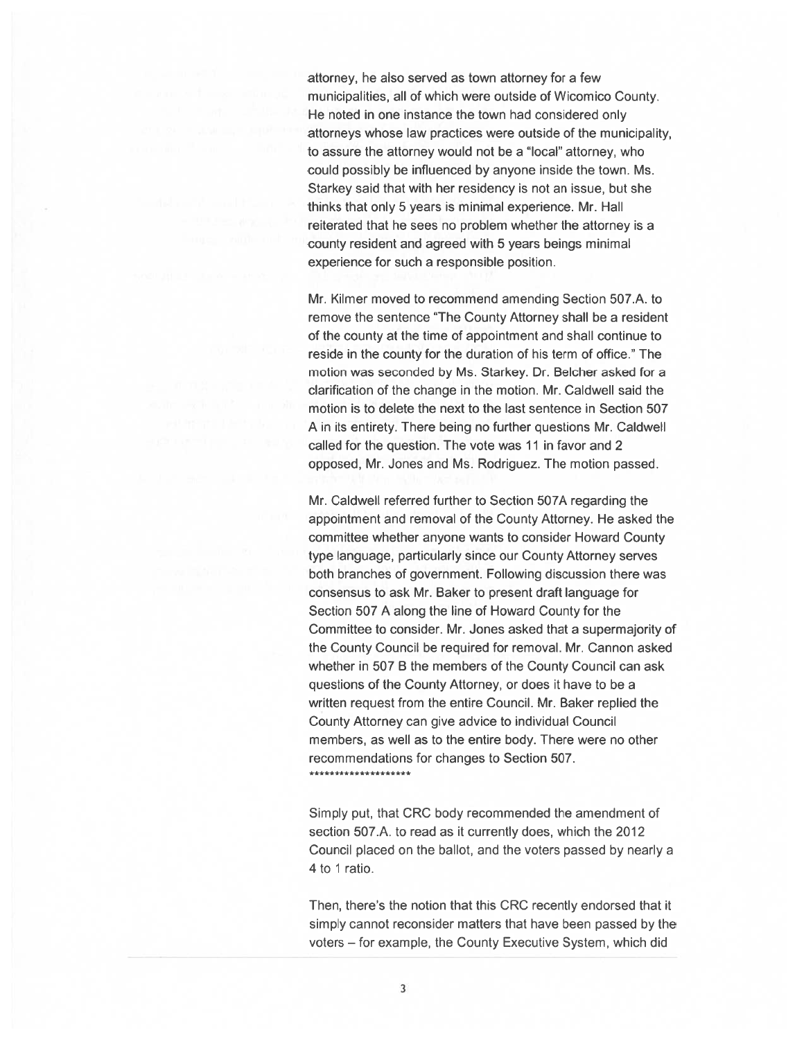attorney, he also served as town attorney for <sup>a</sup> few municipalities, all of which were outside of Wicomico County. He noted in one instance the town had considered only attorneys whose law practices were outside of the municipality, to assure the attorney would not be <sup>a</sup> "local" attorney, who could possibly be influenced by anyone inside the town. Ms. Starkey said that with her residency is not an issue, but she thinks that only 5 years is minimal experience. Mr. Hall reiterated that he sees no problem whether the attorney is <sup>a</sup> county resident and agreed with 5 years beings minimal experience for such <sup>a</sup> responsible position.

Mr. Kilmer moved to recommend amending Section 507.A. to remove the sentence "The County Attorney shall be <sup>a</sup> resident of the county at the time of appointment and shall continue to reside in the county for the duration of his term of office." The motion was seconded by Ms. Starkey. Dr. Belcher asked for <sup>a</sup> clarification of the change in the motion. Mr. Caldwell said the motion is to delete the next to the last sentence in Section 507 A in its entirety. There being no further questions Mr. Caldwell called for the question. The vote was 11 in favor and 2 opposed, Mr. Jones and Ms. Rodriguez. The motion passed.

Mr. Caldwell referred further to Section 507A regarding the appointment and removal of the County Attorney. He asked the committee whether anyone wants to consider Howard County type language, particularly since our County Attorney serves both branches of government. Following discussion there was consensus to ask Mr. Baker to presen<sup>t</sup> draft language for Section 507 A along the line of Howard County for the Committee to consider. Mr. Jones asked that <sup>a</sup> supermajority of the County Council be required for removal. Mr. Cannon asked whether in 507 B the members of the County Council can ask questions of the County Attorney, or does it have to be <sup>a</sup> written reques<sup>t</sup> from the entire Council. Mr. Baker replied the County Attorney can give advice to individual Council members, as well as to the entire body. There were no other recommendations for changes to Section 507. \*\*\*\*\*\*\*\*\*\*\*\*\*\*\*\*\*\*\*\*

Simply put, that CRC body recommended the amendment of section 507.A. to read as it currently does, which the 2012 Council placed on the ballot, and the voters passed by nearly <sup>a</sup> 4 to 1 ratio.

Then, there's the notion that this CRC recently endorsed that it simply cannot reconsider matters that have been passed by the voters — for example, the County Executive System, which did